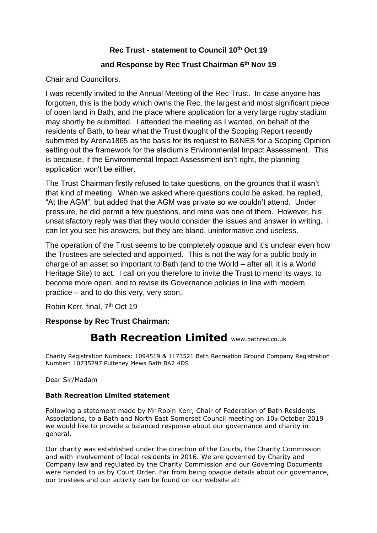## **Rec Trust - statement to Council 10th Oct 19**

## **and Response by Rec Trust Chairman 6th Nov 19**

Chair and Councillors,

I was recently invited to the Annual Meeting of the Rec Trust. In case anyone has forgotten, this is the body which owns the Rec, the largest and most significant piece of open land in Bath, and the place where application for a very large rugby stadium may shortly be submitted. I attended the meeting as I wanted, on behalf of the residents of Bath, to hear what the Trust thought of the Scoping Report recently submitted by Arena1865 as the basis for its request to B&NES for a Scoping Opinion setting out the framework for the stadium's Environmental Impact Assessment. This is because, if the Environmental Impact Assessment isn't right, the planning application won't be either.

The Trust Chairman firstly refused to take questions, on the grounds that it wasn't that kind of meeting. When we asked where questions could be asked, he replied, "At the AGM", but added that the AGM was private so we couldn't attend. Under pressure, he did permit a few questions, and mine was one of them. However, his unsatisfactory reply was that they would consider the issues and answer in writing. I can let you see his answers, but they are bland, uninformative and useless.

The operation of the Trust seems to be completely opaque and it's unclear even how the Trustees are selected and appointed. This is not the way for a public body in charge of an asset so important to Bath (and to the World – after all, it is a World Heritage Site) to act. I call on you therefore to invite the Trust to mend its ways, to become more open, and to revise its Governance policies in line with modern practice – and to do this very, very soon.

Robin Kerr, final, 7<sup>th</sup> Oct 19

**Response by Rec Trust Chairman:**

## **Bath Recreation Limited** www.bathrec.co.uk

Charity Registration Numbers: 1094519 & 1173521 Bath Recreation Ground Company Registration Number: 10735297 Pulteney Mews Bath BA2 4DS

Dear Sir/Madam

## **Bath Recreation Limited statement**

Following a statement made by Mr Robin Kerr, Chair of Federation of Bath Residents Associations, to a Bath and North East Somerset Council meeting on 10th October 2019 we would like to provide a balanced response about our governance and charity in general.

Our charity was established under the direction of the Courts, the Charity Commission and with involvement of local residents in 2016. We are governed by Charity and Company law and regulated by the Charity Commission and our Governing Documents were handed to us by Court Order. Far from being opaque details about our governance, our trustees and our activity can be found on our website at: